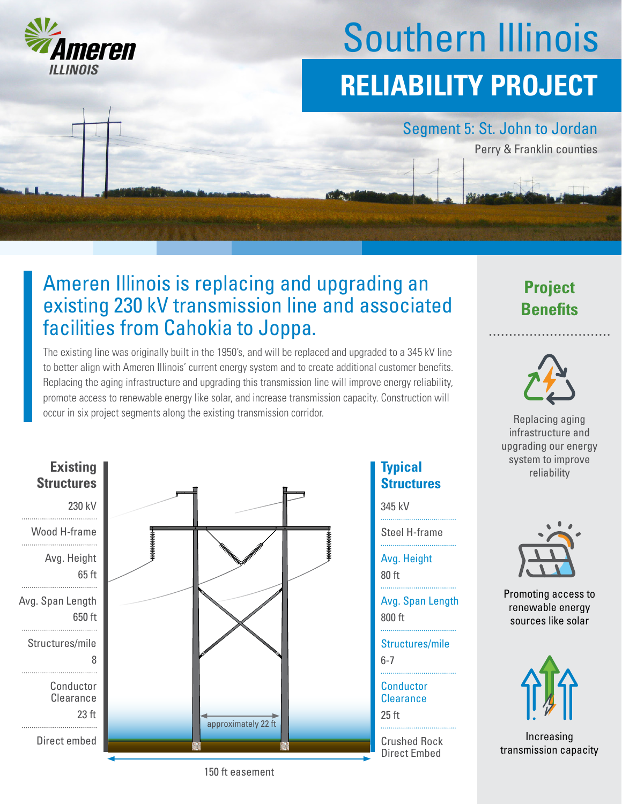

# Southern Illinois **RELIABILITY PROJECT**

#### Segment 5: St. John to Jordan

Perry & Franklin counties

### Ameren Illinois is replacing and upgrading an existing 230 kV transmission line and associated facilities from Cahokia to Joppa.

The existing line was originally built in the 1950's, and will be replaced and upgraded to a 345 kV line to better align with Ameren Illinois' current energy system and to create additional customer benefits. Replacing the aging infrastructure and upgrading this transmission line will improve energy reliability, promote access to renewable energy like solar, and increase transmission capacity. Construction will occur in six project segments along the existing transmission corridor. **Replacing aging** Replacing aging



# **Structures**

345 kV

Steel H-frame

Avg. Height

80 ft

800 ft Avg. Span Length

6-7 Structures/mile

25 ft **Conductor Clearance** 

Crushed Rock Direct Embed





infrastructure and upgrading our energy system to improve **Typical Typical Typical Typical Typical Typical Typical Typical Typical Typical Typical Typical Typical Typical Typical Typical Typical Typical Typical Typical Typical Typical T** 



Promoting access to renewable energy sources like solar



Increasing transmission capacity

150 ft easement